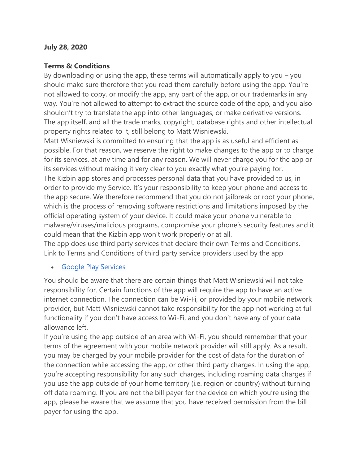#### **July 28, 2020**

#### **Terms & Conditions**

By downloading or using the app, these terms will automatically apply to you – you should make sure therefore that you read them carefully before using the app. You're not allowed to copy, or modify the app, any part of the app, or our trademarks in any way. You're not allowed to attempt to extract the source code of the app, and you also shouldn't try to translate the app into other languages, or make derivative versions. The app itself, and all the trade marks, copyright, database rights and other intellectual property rights related to it, still belong to Matt Wisniewski.

Matt Wisniewski is committed to ensuring that the app is as useful and efficient as possible. For that reason, we reserve the right to make changes to the app or to charge for its services, at any time and for any reason. We will never charge you for the app or its services without making it very clear to you exactly what you're paying for. The Kizbin app stores and processes personal data that you have provided to us, in order to provide my Service. It's your responsibility to keep your phone and access to the app secure. We therefore recommend that you do not jailbreak or root your phone, which is the process of removing software restrictions and limitations imposed by the official operating system of your device. It could make your phone vulnerable to malware/viruses/malicious programs, compromise your phone's security features and it could mean that the Kizbin app won't work properly or at all.

The app does use third party services that declare their own Terms and Conditions. Link to Terms and Conditions of third party service providers used by the app

## • [Google Play Services](https://policies.google.com/terms)

You should be aware that there are certain things that Matt Wisniewski will not take responsibility for. Certain functions of the app will require the app to have an active internet connection. The connection can be Wi-Fi, or provided by your mobile network provider, but Matt Wisniewski cannot take responsibility for the app not working at full functionality if you don't have access to Wi-Fi, and you don't have any of your data allowance left.

If you're using the app outside of an area with Wi-Fi, you should remember that your terms of the agreement with your mobile network provider will still apply. As a result, you may be charged by your mobile provider for the cost of data for the duration of the connection while accessing the app, or other third party charges. In using the app, you're accepting responsibility for any such charges, including roaming data charges if you use the app outside of your home territory (i.e. region or country) without turning off data roaming. If you are not the bill payer for the device on which you're using the app, please be aware that we assume that you have received permission from the bill payer for using the app.